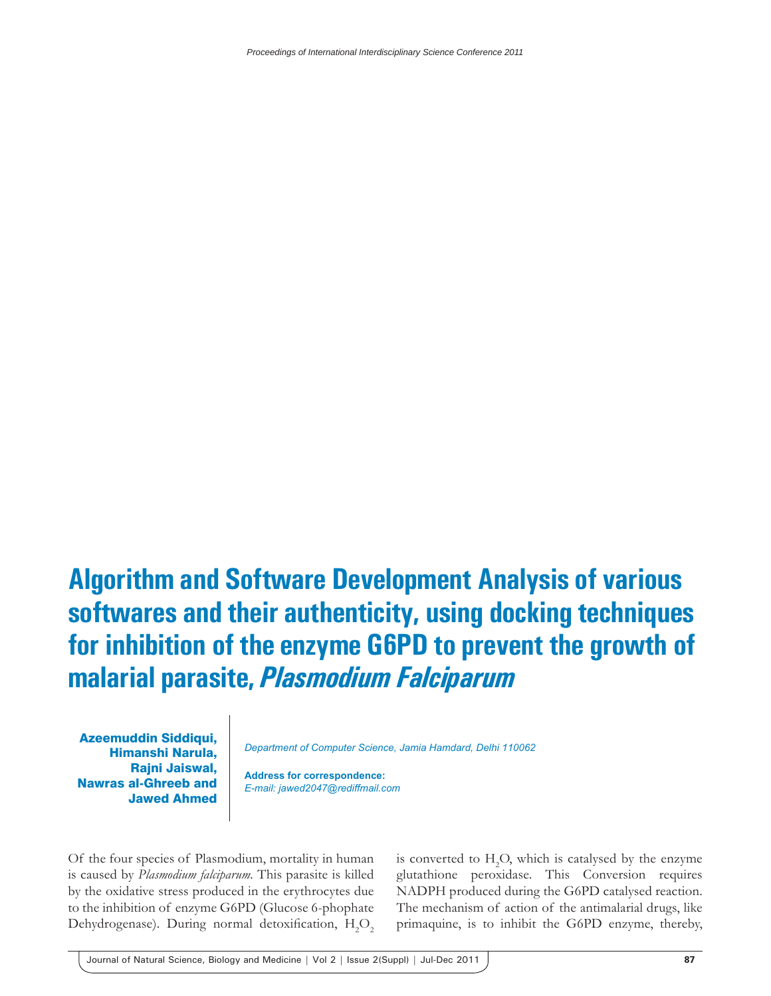## **Algorithm and Software Development Analysis of various softwares and their authenticity, using docking techniques for inhibition of the enzyme G6PD to prevent the growth of malarial parasite,** *Plasmodium Falciparum*

Azeemuddin Siddiqui, Himanshi Narula, Rajni Jaiswal, Nawras al-Ghreeb and Jawed Ahmed

*Department of Computer Science, Jamia Hamdard, Delhi 110062*

**Address for correspondence:** *E-mail: jawed2047@rediffmail.com*

Of the four species of Plasmodium, mortality in human is caused by *Plasmodium falciparum.* This parasite is killed by the oxidative stress produced in the erythrocytes due to the inhibition of enzyme G6PD (Glucose 6-phophate Dehydrogenase). During normal detoxification,  $H_2O_2$ 

is converted to  $H_2O$ , which is catalysed by the enzyme glutathione peroxidase. This Conversion requires NADPH produced during the G6PD catalysed reaction. The mechanism of action of the antimalarial drugs, like primaquine, is to inhibit the G6PD enzyme, thereby,